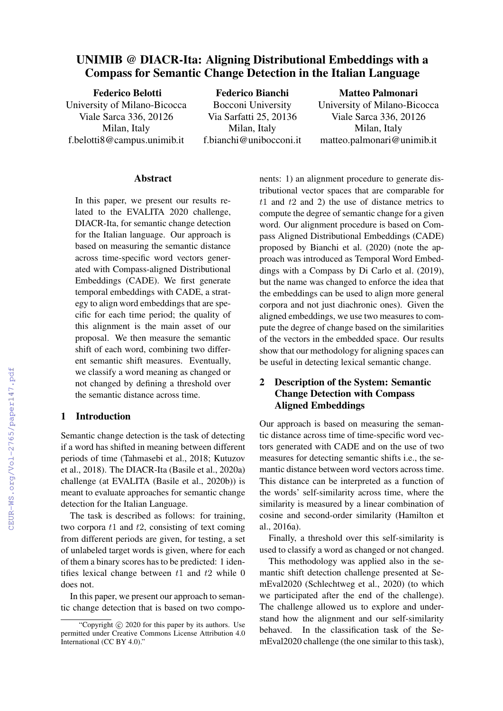# UNIMIB @ DIACR-Ita: Aligning Distributional Embeddings with a Compass for Semantic Change Detection in the Italian Language

Federico Belotti University of Milano-Bicocca Viale Sarca 336, 20126 Milan, Italy f.belotti8@campus.unimib.it Federico Bianchi Bocconi University Via Sarfatti 25, 20136 Milan, Italy f.bianchi@unibocconi.it Matteo Palmonari University of Milano-Bicocca Viale Sarca 336, 20126 Milan, Italy matteo.palmonari@unimib.it

#### **Abstract**

In this paper, we present our results related to the EVALITA 2020 challenge, DIACR-Ita, for semantic change detection for the Italian language. Our approach is based on measuring the semantic distance across time-specific word vectors generated with Compass-aligned Distributional Embeddings (CADE). We first generate temporal embeddings with CADE, a strategy to align word embeddings that are specific for each time period; the quality of this alignment is the main asset of our proposal. We then measure the semantic shift of each word, combining two different semantic shift measures. Eventually, we classify a word meaning as changed or not changed by defining a threshold over the semantic distance across time.

#### 1 Introduction

Semantic change detection is the task of detecting if a word has shifted in meaning between different periods of time (Tahmasebi et al., 2018; Kutuzov et al., 2018). The DIACR-Ita (Basile et al., 2020a) challenge (at EVALITA (Basile et al., 2020b)) is meant to evaluate approaches for semantic change detection for the Italian Language.

The task is described as follows: for training, two corpora  $t1$  and  $t2$ , consisting of text coming from different periods are given, for testing, a set of unlabeled target words is given, where for each of them a binary scores has to be predicted: 1 identifies lexical change between  $t_1$  and  $t_2$  while 0 does not.

In this paper, we present our approach to semantic change detection that is based on two components: 1) an alignment procedure to generate distributional vector spaces that are comparable for  $t1$  and  $t2$  and 2) the use of distance metrics to compute the degree of semantic change for a given word. Our alignment procedure is based on Compass Aligned Distributional Embeddings (CADE) proposed by Bianchi et al. (2020) (note the approach was introduced as Temporal Word Embeddings with a Compass by Di Carlo et al. (2019), but the name was changed to enforce the idea that the embeddings can be used to align more general corpora and not just diachronic ones). Given the aligned embeddings, we use two measures to compute the degree of change based on the similarities of the vectors in the embedded space. Our results show that our methodology for aligning spaces can be useful in detecting lexical semantic change.

# 2 Description of the System: Semantic Change Detection with Compass Aligned Embeddings

Our approach is based on measuring the semantic distance across time of time-specific word vectors generated with CADE and on the use of two measures for detecting semantic shifts i.e., the semantic distance between word vectors across time. This distance can be interpreted as a function of the words' self-similarity across time, where the similarity is measured by a linear combination of cosine and second-order similarity (Hamilton et al., 2016a).

Finally, a threshold over this self-similarity is used to classify a word as changed or not changed.

This methodology was applied also in the semantic shift detection challenge presented at SemEval2020 (Schlechtweg et al., 2020) (to which we participated after the end of the challenge). The challenge allowed us to explore and understand how the alignment and our self-similarity behaved. In the classification task of the SemEval2020 challenge (the one similar to this task),

<sup>&</sup>quot;Copyright © 2020 for this paper by its authors. Use permitted under Creative Commons License Attribution 4.0 International (CC BY 4.0)."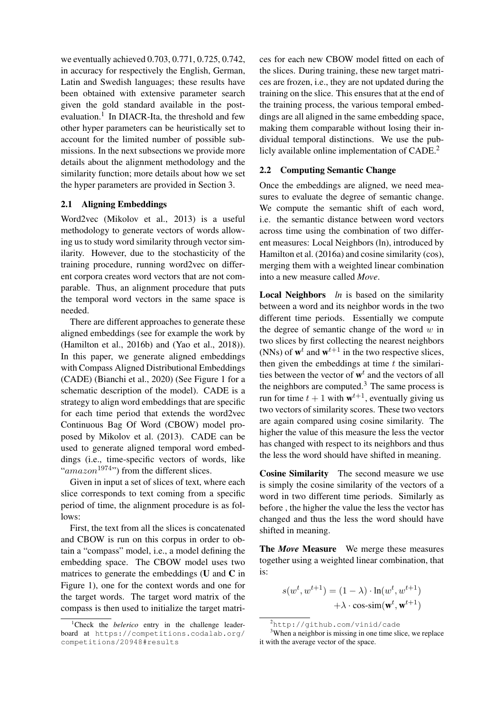we eventually achieved 0.703, 0.771, 0.725, 0.742, in accuracy for respectively the English, German, Latin and Swedish languages; these results have been obtained with extensive parameter search given the gold standard available in the postevaluation.<sup>1</sup> In DIACR-Ita, the threshold and few other hyper parameters can be heuristically set to account for the limited number of possible submissions. In the next subsections we provide more details about the alignment methodology and the similarity function; more details about how we set the hyper parameters are provided in Section 3.

#### 2.1 Aligning Embeddings

Word2vec (Mikolov et al., 2013) is a useful methodology to generate vectors of words allowing us to study word similarity through vector similarity. However, due to the stochasticity of the training procedure, running word2vec on different corpora creates word vectors that are not comparable. Thus, an alignment procedure that puts the temporal word vectors in the same space is needed.

There are different approaches to generate these aligned embeddings (see for example the work by (Hamilton et al., 2016b) and (Yao et al., 2018)). In this paper, we generate aligned embeddings with Compass Aligned Distributional Embeddings (CADE) (Bianchi et al., 2020) (See Figure 1 for a schematic description of the model). CADE is a strategy to align word embeddings that are specific for each time period that extends the word2vec Continuous Bag Of Word (CBOW) model proposed by Mikolov et al. (2013). CADE can be used to generate aligned temporal word embeddings (i.e., time-specific vectors of words, like " $a$ mazon<sup>1974</sup>") from the different slices.

Given in input a set of slices of text, where each slice corresponds to text coming from a specific period of time, the alignment procedure is as follows:

First, the text from all the slices is concatenated and CBOW is run on this corpus in order to obtain a "compass" model, i.e., a model defining the embedding space. The CBOW model uses two matrices to generate the embeddings  $(U \text{ and } C \text{ in})$ Figure 1), one for the context words and one for the target words. The target word matrix of the compass is then used to initialize the target matri-

ces for each new CBOW model fitted on each of the slices. During training, these new target matrices are frozen, i.e., they are not updated during the training on the slice. This ensures that at the end of the training process, the various temporal embeddings are all aligned in the same embedding space, making them comparable without losing their individual temporal distinctions. We use the publicly available online implementation of  $CADE<sup>2</sup>$ .

#### 2.2 Computing Semantic Change

Once the embeddings are aligned, we need measures to evaluate the degree of semantic change. We compute the semantic shift of each word, i.e. the semantic distance between word vectors across time using the combination of two different measures: Local Neighbors (ln), introduced by Hamilton et al. (2016a) and cosine similarity (cos), merging them with a weighted linear combination into a new measure called *Move*.

Local Neighbors *ln* is based on the similarity between a word and its neighbor words in the two different time periods. Essentially we compute the degree of semantic change of the word  $w$  in two slices by first collecting the nearest neighbors (NNs) of  $w^t$  and  $w^{t+1}$  in the two respective slices, then given the embeddings at time  $t$  the similarities between the vector of  $\mathbf{w}^t$  and the vectors of all the neighbors are computed.<sup>3</sup> The same process is run for time  $t + 1$  with  $w^{t+1}$ , eventually giving us two vectors of similarity scores. These two vectors are again compared using cosine similarity. The higher the value of this measure the less the vector has changed with respect to its neighbors and thus the less the word should have shifted in meaning.

Cosine Similarity The second measure we use is simply the cosine similarity of the vectors of a word in two different time periods. Similarly as before , the higher the value the less the vector has changed and thus the less the word should have shifted in meaning.

The *Move* Measure We merge these measures together using a weighted linear combination, that is:

$$
s(w^t, w^{t+1}) = (1 - \lambda) \cdot \ln(w^t, w^{t+1})
$$

$$
+ \lambda \cdot \cos\text{-}\mathrm{sim}(\mathbf{w}^t, \mathbf{w}^{t+1})
$$

<sup>&</sup>lt;sup>1</sup>Check the *belerico* entry in the challenge leaderboard at https://competitions.codalab.org/ competitions/20948#results

<sup>2</sup>http://github.com/vinid/cade

<sup>&</sup>lt;sup>3</sup>When a neighbor is missing in one time slice, we replace it with the average vector of the space.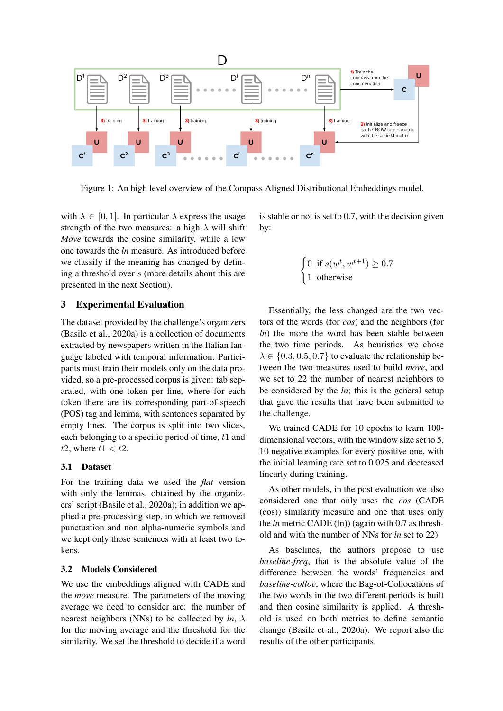

Figure 1: An high level overview of the Compass Aligned Distributional Embeddings model.

with  $\lambda \in [0, 1]$ . In particular  $\lambda$  express the usage strength of the two measures: a high  $\lambda$  will shift *Move* towards the cosine similarity, while a low one towards the *ln* measure. As introduced before we classify if the meaning has changed by defining a threshold over s (more details about this are presented in the next Section).

### 3 Experimental Evaluation

The dataset provided by the challenge's organizers (Basile et al., 2020a) is a collection of documents extracted by newspapers written in the Italian language labeled with temporal information. Participants must train their models only on the data provided, so a pre-processed corpus is given: tab separated, with one token per line, where for each token there are its corresponding part-of-speech (POS) tag and lemma, with sentences separated by empty lines. The corpus is split into two slices, each belonging to a specific period of time, t1 and t2, where  $t1 < t2$ .

#### 3.1 Dataset

For the training data we used the *flat* version with only the lemmas, obtained by the organizers' script (Basile et al., 2020a); in addition we applied a pre-processing step, in which we removed punctuation and non alpha-numeric symbols and we kept only those sentences with at least two tokens.

### 3.2 Models Considered

We use the embeddings aligned with CADE and the *move* measure. The parameters of the moving average we need to consider are: the number of nearest neighbors (NNs) to be collected by  $ln, \lambda$ for the moving average and the threshold for the similarity. We set the threshold to decide if a word is stable or not is set to 0.7, with the decision given by:

$$
\begin{cases} 0 & \text{if } s(w^t, w^{t+1}) \ge 0.7\\ 1 & \text{otherwise} \end{cases}
$$

Essentially, the less changed are the two vectors of the words (for *cos*) and the neighbors (for *ln*) the more the word has been stable between the two time periods. As heuristics we chose  $\lambda \in \{0.3, 0.5, 0.7\}$  to evaluate the relationship between the two measures used to build *move*, and we set to 22 the number of nearest neighbors to be considered by the *ln*; this is the general setup that gave the results that have been submitted to the challenge.

We trained CADE for 10 epochs to learn 100 dimensional vectors, with the window size set to 5, 10 negative examples for every positive one, with the initial learning rate set to 0.025 and decreased linearly during training.

As other models, in the post evaluation we also considered one that only uses the *cos* (CADE (cos)) similarity measure and one that uses only the *ln* metric CADE (ln)) (again with 0.7 as threshold and with the number of NNs for *ln* set to 22).

As baselines, the authors propose to use *baseline-freq*, that is the absolute value of the difference between the words' frequencies and *baseline-colloc*, where the Bag-of-Collocations of the two words in the two different periods is built and then cosine similarity is applied. A threshold is used on both metrics to define semantic change (Basile et al., 2020a). We report also the results of the other participants.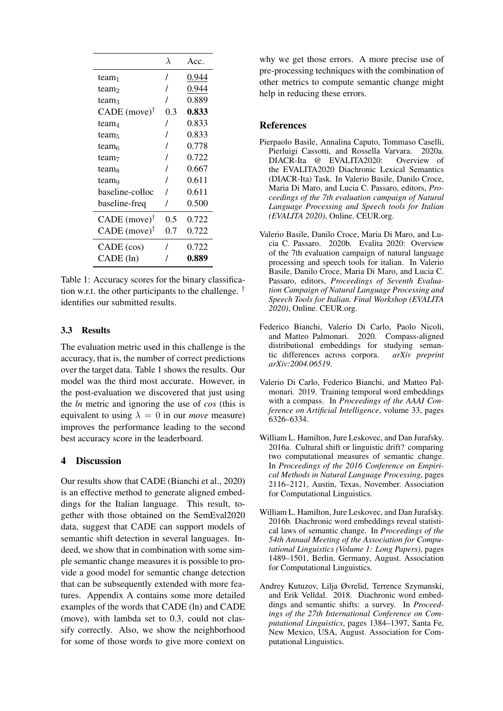|                            | λ   | Acc.  |
|----------------------------|-----|-------|
| team <sub>1</sub>          | 7   | 0.944 |
| team <sub>2</sub>          |     | 0.944 |
| team <sub>3</sub>          |     | 0.889 |
| $CADE$ (move) <sup>†</sup> | 0.3 | 0.833 |
| team4                      |     | 0.833 |
| team <sub>5</sub>          |     | 0.833 |
| team <sub>6</sub>          |     | 0.778 |
| team <sub>7</sub>          |     | 0.722 |
| team <sub>s</sub>          |     | 0.667 |
| team <sub>9</sub>          |     | 0.611 |
| baseline-colloc            |     | 0.611 |
| baseline-freq              |     | 0.500 |
| CADE (move) $^{\dagger}$   | 0.5 | 0.722 |
| $CADE$ (move) <sup>†</sup> | 0.7 | 0.722 |
| CADE (cos)                 |     | 0.722 |
| CADE (ln)                  |     | 0.889 |

Table 1: Accuracy scores for the binary classification w.r.t. the other participants to the challenge.  $^{\dagger}$ identifies our submitted results.

# 3.3 Results

The evaluation metric used in this challenge is the accuracy, that is, the number of correct predictions over the target data. Table 1 shows the results. Our model was the third most accurate. However, in the post-evaluation we discovered that just using the *ln* metric and ignoring the use of *cos* (this is equivalent to using  $\lambda = 0$  in our *move* measure) improves the performance leading to the second best accuracy score in the leaderboard.

# 4 Discussion

Our results show that CADE (Bianchi et al., 2020) is an effective method to generate aligned embeddings for the Italian language. This result, together with those obtained on the SemEval2020 data, suggest that CADE can support models of semantic shift detection in several languages. Indeed, we show that in combination with some simple semantic change measures it is possible to provide a good model for semantic change detection that can be subsequently extended with more features. Appendix A contains some more detailed examples of the words that CADE (ln) and CADE (move), with lambda set to 0.3, could not classify correctly. Also, we show the neighborhood for some of those words to give more context on

why we get those errors. A more precise use of pre-processing techniques with the combination of other metrics to compute semantic change might help in reducing these errors.

## References

- Pierpaolo Basile, Annalina Caputo, Tommaso Caselli, Pierluigi Cassotti, and Rossella Varvara. 2020a. DIACR-Ita @ EVALITA2020: Overview of the EVALITA2020 Diachronic Lexical Semantics (DIACR-Ita) Task. In Valerio Basile, Danilo Croce, Maria Di Maro, and Lucia C. Passaro, editors, *Proceedings of the 7th evaluation campaign of Natural Language Processing and Speech tools for Italian (EVALITA 2020)*, Online. CEUR.org.
- Valerio Basile, Danilo Croce, Maria Di Maro, and Lucia C. Passaro. 2020b. Evalita 2020: Overview of the 7th evaluation campaign of natural language processing and speech tools for italian. In Valerio Basile, Danilo Croce, Maria Di Maro, and Lucia C. Passaro, editors, *Proceedings of Seventh Evaluation Campaign of Natural Language Processing and Speech Tools for Italian. Final Workshop (EVALITA 2020)*, Online. CEUR.org.
- Federico Bianchi, Valerio Di Carlo, Paolo Nicoli, and Matteo Palmonari. 2020. Compass-aligned distributional embeddings for studying semantic differences across corpora. *arXiv preprint arXiv:2004.06519*.
- Valerio Di Carlo, Federico Bianchi, and Matteo Palmonari. 2019. Training temporal word embeddings with a compass. In *Proceedings of the AAAI Conference on Artificial Intelligence*, volume 33, pages 6326–6334.
- William L. Hamilton, Jure Leskovec, and Dan Jurafsky. 2016a. Cultural shift or linguistic drift? comparing two computational measures of semantic change. In *Proceedings of the 2016 Conference on Empirical Methods in Natural Language Processing*, pages 2116–2121, Austin, Texas, November. Association for Computational Linguistics.
- William L. Hamilton, Jure Leskovec, and Dan Jurafsky. 2016b. Diachronic word embeddings reveal statistical laws of semantic change. In *Proceedings of the 54th Annual Meeting of the Association for Computational Linguistics (Volume 1: Long Papers)*, pages 1489–1501, Berlin, Germany, August. Association for Computational Linguistics.
- Andrey Kutuzov, Lilja Øvrelid, Terrence Szymanski, and Erik Velldal. 2018. Diachronic word embeddings and semantic shifts: a survey. In *Proceedings of the 27th International Conference on Computational Linguistics*, pages 1384–1397, Santa Fe, New Mexico, USA, August. Association for Computational Linguistics.